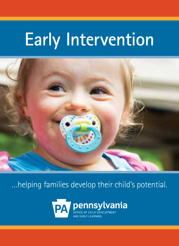# **Early Intervention**



…helping families develop their child's potential.

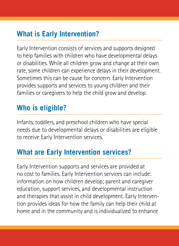# **What is Early Intervention?**

Early Intervention consists of services and supports designed to help families with children who have developmental delays or disabilities. While all children grow and change at their own rate, some children can experience delays in their development. Sometimes this can be cause for concern. Early Intervention provides supports and services to young children and their families or caregivers to help the child grow and develop.

#### **Who is eligible?**

Infants, toddlers, and preschool children who have special needs due to developmental delays or disabilities are eligible to receive Early Intervention services.

#### **What are Early Intervention services?**

Early Intervention supports and services are provided at no cost to families. Early Intervention services can include: information on how children develop; parent and caregiver education, support services, and developmental instruction and therapies that assist in child development. Early Intervention provides ideas for how the family can help their child at home and in the community and is individualized to enhance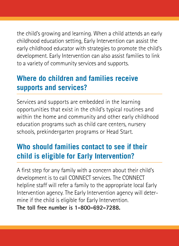the child's growing and learning. When a child attends an early childhood education setting, Early Intervention can assist the early childhood educator with strategies to promote the child's development. Early Intervention can also assist families to link to a variety of community services and supports.

# **Where do children and families receive supports and services?**

Services and supports are embedded in the learning opportunities that exist in the child's typical routines and within the home and community and other early childhood education programs such as child care centers, nursery schools, prekindergarten programs or Head Start.

# **Who should families contact to see if their child is eligible for Early Intervention?**

A first step for any family with a concern about their child's development is to call CONNECT services. The CONNECT helpline staff will refer a family to the appropriate local Early Intervention agency. The Early Intervention agency will determine if the child is eligible for Early Intervention. **The toll free number is 1-800-692-7288.**